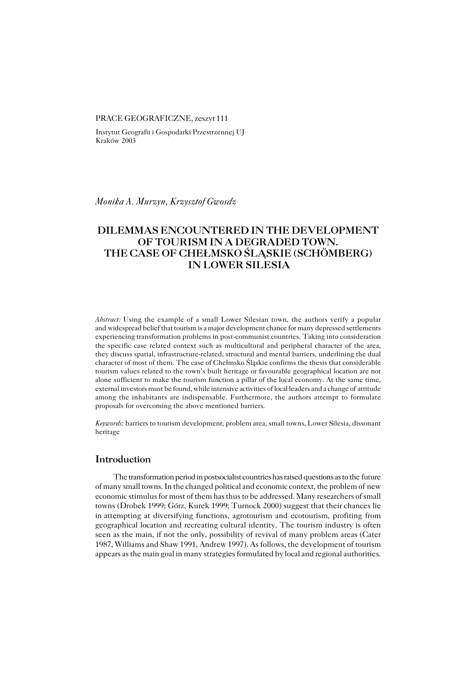### PRACE GEOGRAFICZNE, zeszyt 111

Instytut Geografii i Gospodarki Przestrzennej UJ Kraków 2003

*Monika A. Murzyn, Krzysztof Gwosdz*

# **DILEMMAS ENCOUNTERED IN THE DEVELOPMENT OF TOURISM IN A DEGRADED TOWN. THE CASE OF CHEŁMSKO ŚLĄSKIE (SCHÖMBERG) IN LOWER SILESIA**

*Abstract:* Using the example of a small Lower Silesian town, the authors verify a popular and widespread belief that tourism is a major development chance for many depressed settlements experiencing transformation problems in post−communist countries. Taking into consideration the specific case related context such as multicultural and peripheral character of the area, theydiscuss spatial, infrastructure−related, structural and mental barriers, underlining the dual character of most of them. The case of Chełmsko Śląskie confirms the thesis that considerable tourism values related to the town's built heritage or favourable geographical location are not alone sufficient to make the tourism function a pillar of the local economy. At the same time, external investors must be found, while intensive activities of local leaders and a change of attitude among the inhabitants are indispensable. Furthermore, the authors attempt to formulate proposals for overcoming the above mentioned barriers.

*Keywords*: barriers to tourism development, problem area, small towns, Lower Silesia, dissonant heritage

## **Introduction**

The transformation period in postsocialist countries has raised questions as to the future of many small towns. In the changed political and economic context, the problem of new economic stimulus for most of them has thus to be addressed. Many researchers of small towns (Drobek 1999; Górz, Kurek 1999; Turnock 2000) suggest that their chances lie inattempting at diversifying functions, agrotourism and ecotourism, profiting from geographical location and recreating cultural identity. The tourism industry is often seen as the main, if not the only, possibility of revival of many problem areas (Cater 1987, Williams and Shaw 1991, Andrew 1997). As follows, the development of tourism appears as the main goal in many strategies formulated by local and regional authorities.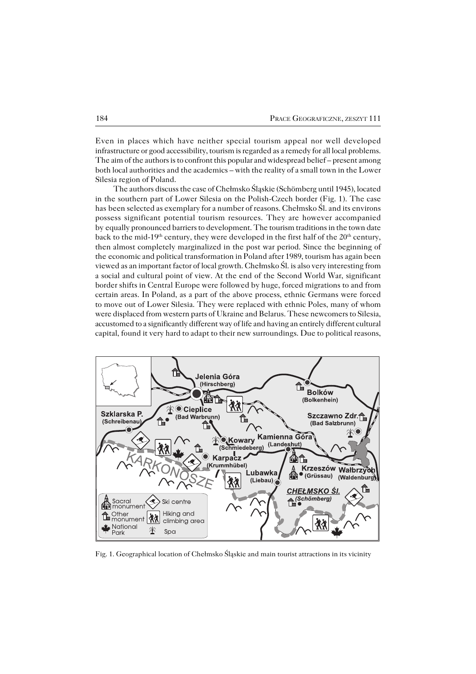Even in places which have neither special tourism appeal nor well developed infrastructure or good accessibility, tourism is regarded as a remedy for all local problems. The aim of the authors is to confront this popular and widespread belief – present among both local authorities and the academics – with the reality of a small town in the Lower Silesia region of Poland.

The authors discuss the case of Chełmsko Śląskie (Schömberg until 1945), located in the southern part of Lower Silesia on the Polish−Czech border (Fig. 1). The case hasbeen selected as exemplary for a number of reasons. Chełmsko Śl. and its environs possess significant potential tourism resources. They are however accompanied byequally pronounced barriers to development. The tourism traditions in the town date back to the mid-19<sup>th</sup> century, they were developed in the first half of the 20<sup>th</sup> century, then almost completely marginalized in the post war period. Since the beginning of the economic and political transformation in Poland after 1989, tourism has again been viewed as an important factor of local growth. Chełmsko Śl. is also very interesting from a social and cultural point of view. At the end of the Second World War, significant border shifts in Central Europe were followed by huge, forced migrations to and from certain areas. In Poland, as a part of the above process, ethnic Germans were forced tomove out of Lower Silesia. They were replaced with ethnic Poles, many of whom were displaced from western parts of Ukraine and Belarus. These newcomers to Silesia, accustomed to a significantly different way of life and having an entirely different cultural capital, found it very hard to adapt to their new surroundings. Due to political reasons,



Fig. 1. Geographical location of Chełmsko Śląskie and main tourist attractions in its vicinity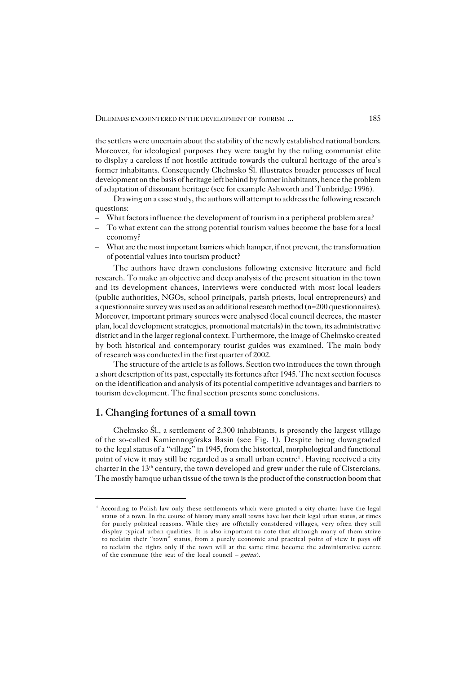the settlers were uncertain about the stability of the newly established national borders. Moreover, for ideological purposes they were taught by the ruling communist elite todisplay a careless if not hostile attitude towards the cultural heritage of the area's former inhabitants. Consequently Chełmsko Śl. illustrates broader processes of local development on the basis of heritage left behind by former inhabitants, hence the problem of adaptation of dissonant heritage (see for example Ashworth and Tunbridge 1996).

Drawing on a case study, the authors will attempt to address the following research questions:

- What factors influence the development of tourism in a peripheral problem area?
- To what extent can the strong potential tourism values become the base for a local economy?
- What are the most important barriers which hamper, if not prevent, the transformation of potential values into tourism product?

The authors have drawn conclusions following extensive literature and field research. To make an objective and deep analysis of the present situation in the town and its development chances, interviews were conducted with most local leaders (public authorities, NGOs, school principals, parish priests, local entrepreneurs) and a questionnaire survey was used as an additional research method (n=200 questionnaires). Moreover, important primary sources were analysed (local council decrees, the master plan, local development strategies, promotional materials) in the town, its administrative district and in the larger regional context. Furthermore, the image of Chełmsko created by both historical and contemporary tourist guides was examined. The main body of research was conducted in the first quarter of 2002.

The structure of the article is as follows. Section two introduces the town through a short description of its past, especially its fortunes after 1945. The next section focuses on the identification and analysis of its potential competitive advantages and barriers to tourism development. The final section presents some conclusions.

## **1. Changing fortunes of a small town**

Chełmsko Śl., a settlement of 2,300 inhabitants, is presently the largest village ofthe so−called Kamiennogórska Basin (see Fig. 1). Despite being downgraded to the legal status of a "village" in 1945, from the historical, morphological and functional point of view it may still be regarded as a small urban centre<sup>1</sup>. Having received a city charter in the 13th century, the town developed and grew under the rule of Cistercians. The mostly baroque urban tissue of the town is the product of the construction boom that

<sup>&</sup>lt;sup>1</sup> According to Polish law only these settlements which were granted a city charter have the legal status of a town. In the course of history many small towns have lost their legal urban status, at times for purely political reasons. While they are officially considered villages, very often they still display typical urban qualities. It is also important to note that although many of them strive to reclaim their "town" status, from a purely economic and practical point of view it pays off toreclaim the rights only if the town will at the same time become the administrative centre of the commune (the seat of the local council – *gmina*).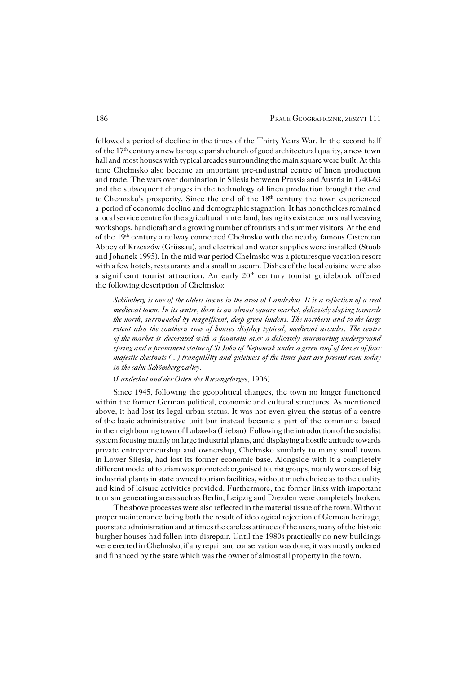followed a period of decline in the times of the Thirty Years War. In the second half ofthe 17th century a new baroque parish church of good architectural quality, a new town hall and most houses with typical arcades surrounding the main square were built. At this time Chełmsko also became an important pre−industrial centre of linen production and trade. The wars over domination in Silesia between Prussia and Austria in 1740-63 and the subsequent changes in the technology of linen production brought the end to Chełmsko's prosperity. Since the end of the 18<sup>th</sup> century the town experienced a period ofeconomic decline and demographic stagnation. It has nonetheless remained a local service centre for the agricultural hinterland, basing its existence on small weaving workshops, handicraft and a growing number of tourists and summer visitors. At the end of the 19th century a railway connected Chełmsko with the nearby famous Cistercian Abbey of Krzeszów (Grüssau), and electrical and water supplies were installed (Stoob and Johanek 1995). In the mid war period Chełmsko was a picturesque vacation resort with a few hotels, restaurants and a small museum. Dishes of the local cuisine were also a significant tourist attraction. An early  $20<sup>th</sup>$  century tourist guidebook offered the following description of Chełmsko:

Schömberg is one of the oldest towns in the area of Landeshut. It is a reflection of a real *medieval town. In its centre, there is an almost square market, delicately sloping towards the north, surrounded by magnificent, deep green lindens. The northern and tothe large extent also the southern row of houses display typical, medieval arcades. The centre ofthemarket is decorated with a fountain over adelicately murmuring underground* spring and a prominent statue of St John of Nepomuk under a green roof of leaves of four *majestic chestnuts (...) tranquillity and quietness of the times past are present even today* in the calm Schömberg valley.

#### (*Landeshut und der Osten des Riesengebirge*s, 1906)

Since 1945, following the geopolitical changes, the town no longer functioned within the former German political, economic and cultural structures. As mentioned above, it had lost its legal urban status. It was not even given the status of a centre of the basic administrative unit but instead became a part of the commune based in the neighbouring town of Lubawka (Liebau). Following the introduction of the socialist system focusing mainly on large industrial plants, and displaying a hostile attitude towards private entrepreneurship and ownership, Chełmsko similarly to many small towns inLower Silesia, had lost its former economic base. Alongside with it a completely different model of tourism was promoted: organised tourist groups, mainly workers of big industrial plants in state owned tourism facilities, without much choice as to the quality and kind of leisure activities provided. Furthermore, the former links with important tourism generating areas such as Berlin, Leipzig and Drezden were completely broken.

The above processes were also reflected in the material tissue of the town. Without proper maintenance being both the result of ideological rejection of German heritage, poor state administration and at times the careless attitude of the users, many of the historic burgher houses had fallen into disrepair. Until the 1980s practically no new buildings were erected in Chełmsko, if any repair and conservation was done, it was mostly ordered and financed by the state which was the owner of almost all property in the town.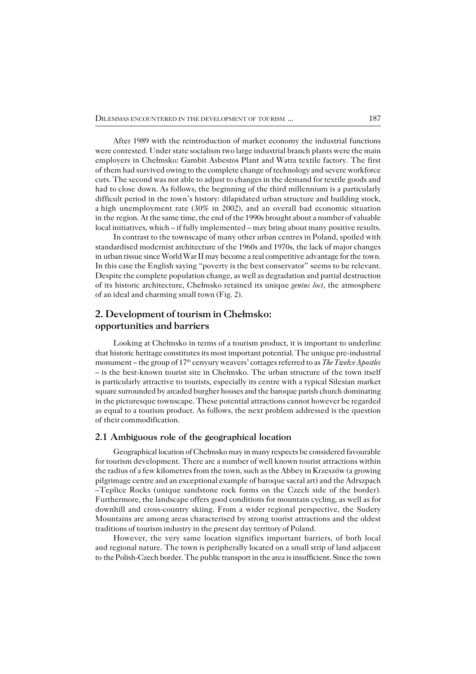After 1989 with the reintroduction of market economy the industrial functions were contested. Under state socialism two large industrial branch plants were the main employers in Chełmsko: Gambit Asbestos Plant and Watra textile factory. The first of them had survived owing to the complete change of technology and severe workforce cuts. The second was not able to adjust to changes in the demand for textile goods and had to close down. As follows, the beginning of the third millennium is a particularly difficult period in the town's history: dilapidated urban structure and building stock, ahigh unemployment rate (30% in 2002), and an overall bad economic situation in the region. At the same time, the end of the 1990s brought about a number of valuable local initiatives, which – if fully implemented – may bring about many positive results.

In contrast to the townscape of many other urban centres in Poland, spoiled with standardised modernist architecture of the 1960s and 1970s, the lack of major changes in urban tissue since World War II may become a real competitive advantage for the town. In this case the English saying "poverty is the best conservator" seems to be relevant. Despite the complete population change, as well as degradation and partial destruction of its historic architecture, Chełmsko retained its unique *genius loci*, the atmosphere of an ideal and charming small town (Fig. 2).

# **2. Development of tourism in Chełmsko: opportunities and barriers**

Looking at Chełmsko in terms of a tourism product, it is important to underline that historic heritage constitutes its most important potential. The unique pre−industrial monument – the group of 17<sup>th</sup> cenyury weavers' cottages referred to as *The Twelve Apostles* – is the best−known tourist site in Chełmsko. The urban structure of the town itself is particularly attractive to tourists, especially its centre with a typical Silesian market square surrounded by arcaded burgher houses and the baroque parish church dominating in the picturesque townscape. These potential attractions cannot however be regarded as equal to a tourism product. As follows, the next problem addressed is the question of their commodification.

#### **2.1 Ambiguous role of the geographical location**

Geographical location of Chełmsko may in many respects be considered favourable for tourism development. There are a number of well known tourist attractions within the radius of a few kilometres from the town, such as the Abbey in Krzeszów (a growing pilgrimage centre and an exceptional example of baroque sacral art) and the Adrszpach –Teplice Rocks (unique sandstone rock forms on the Czech side of the border). Furthermore, the landscape offers good conditions for mountain cycling, as well as for downhill and cross−country skiing. From a wider regional perspective, the Sudety Mountains are among areas characterised by strong tourist attractions and the oldest traditions of tourism industry in the present day territory of Poland.

However, the very same location signifies important barriers, of both local and regional nature. The town is peripherally located on a small strip of land adjacent to the Polish-Czech border. The public transport in the area is insufficient. Since the town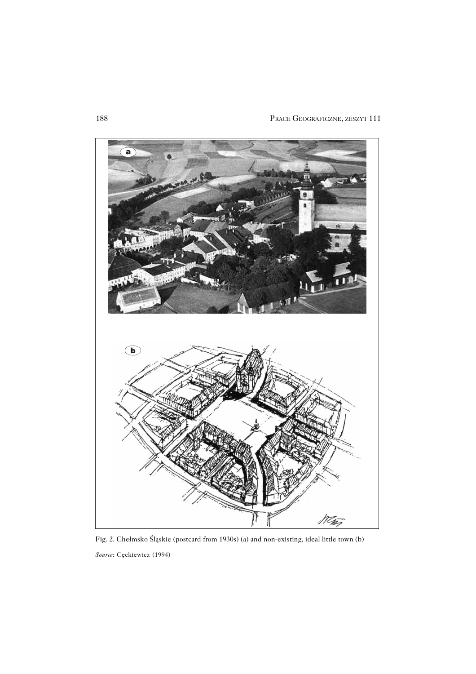

Fig. 2. Chełmsko Śląskie (postcard from 1930s) (a) and non−existing, ideal little town (b) *Source*: Cęckiewicz (1994)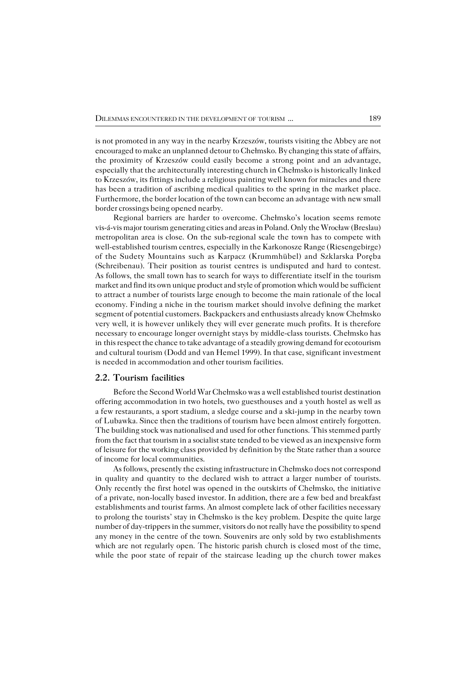is not promoted in any way in the nearby Krzeszów, tourists visiting the Abbey are not encouraged to make an unplanned detour to Chełmsko. By changing this state of affairs, the proximity of Krzeszów could easily become a strong point and an advantage, especially that the architecturally interesting church in Chełmsko is historically linked to Krzeszów, its fittings include a religious painting well known for miracles and there has been a tradition of ascribing medical qualities to the spring in the market place. Furthermore, the border location of the town can become an advantage with new small border crossings being opened nearby.

Regional barriers are harder to overcome. Chełmsko's location seems remote vis−á−vis major tourism generating cities and areas in Poland. Only the Wrocław (Breslau) metropolitan area is close. On the sub−regional scale the town has to compete with well−established tourism centres, especially in the Karkonosze Range (Riesengebirge) of the Sudety Mountains such as Karpacz (Krummhübel) and Szklarska Poręba (Schreibenau). Their position as tourist centres is undisputed and hard to contest. As follows, the small town has to search for ways to differentiate itself in the tourism market and find its own unique product and style of promotion which would be sufficient to attract a number of tourists large enough to become the main rationale of the local economy. Finding a niche in the tourism market should involve defining the market segment of potential customers. Backpackers and enthusiasts already know Chełmsko very well, it is however unlikely they will ever generate much profits. It is therefore necessary to encourage longer overnight stays by middle−class tourists. Chełmsko has in this respect the chance to take advantage of a steadily growing demand for ecotourism and cultural tourism (Dodd and van Hemel 1999). In that case, significant investment is needed in accommodation and other tourism facilities.

#### **2.2. Tourism facilities**

Before the Second World War Chełmsko was a well established tourist destination offering accommodation in two hotels, two guesthouses and a youth hostel as well as a few restaurants, a sport stadium, a sledge course and a ski−jump in the nearby town ofLubawka. Since then the traditions of tourism have been almost entirely forgotten. The building stock was nationalised and used for other functions. This stemmed partly from the fact that tourism in a socialist state tended to be viewed as an inexpensive form of leisure for the working class provided by definition by the State rather than a source of income for local communities.

As follows, presently the existing infrastructure in Chełmsko does not correspond in quality and quantity to the declared wish to attract a larger number of tourists. Only recently the first hotel was opened in the outskirts of Chełmsko, the initiative ofaprivate, non−locally based investor. In addition, there are a few bed and breakfast establishments and tourist farms. An almost complete lack of other facilities necessary to prolong the tourists' stay in Chełmsko is the key problem. Despite the quite large number of day−trippers in the summer, visitors do not really have the possibility to spend any money in the centre of the town. Souvenirs are only sold by two establishments which are not regularly open. The historic parish church is closed most of the time, while the poor state of repair of the staircase leading up the church tower makes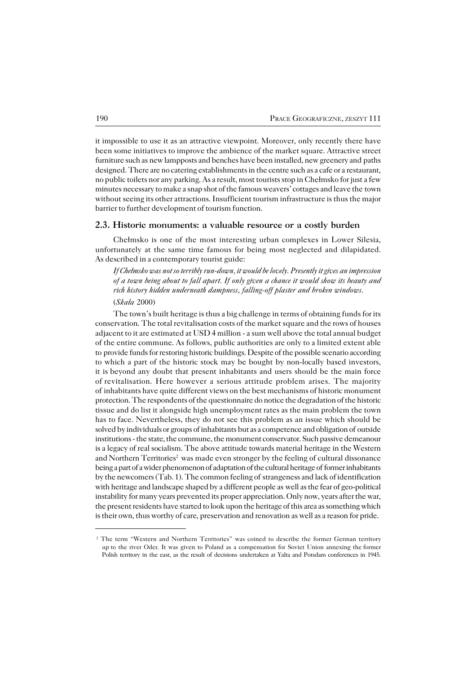itimpossible to use it as an attractive viewpoint. Moreover, only recently there have been some initiatives to improve the ambience of the market square. Attractive street furniture such as new lampposts and benches have been installed, new greenery and paths designed. There are no catering establishments in the centre such as a cafe or a restaurant, no public toilets nor any parking. As a result, most tourists stop in Chełmsko for just a few minutes necessary to make a snap shot of the famous weavers' cottages and leave the town without seeing its other attractions. Insufficient tourism infrastructure is thus the major barrier to further development of tourism function.

### **2.3. Historic monuments: a valuable resource or a costly burden**

Chełmsko is one of the most interesting urban complexes in Lower Silesia, unfortunately at the same time famous for being most neglected and dilapidated. As described in a contemporary tourist guide:

*If Chełmsko was not so terribly run−down, it would be lovely. Presently it gives an impression of a town being about to fall apart. If only given a chance it would show itsbeauty and rich history hidden underneath dampness, falling−off plaster and broken windows.* (*Skała* 2000)

The town's built heritage is thus a big challenge in terms of obtaining funds for its conservation. The total revitalisation costs of the market square and the rows of houses adjacent to it are estimated at USD 4 million − a sum well above the total annual budget of the entire commune. As follows, public authorities are only to a limited extent able to provide funds for restoring historic buildings. Despite of the possible scenario according to which a part of the historic stock may be bought by non−locally based investors, it is beyond any doubt that present inhabitants and users should be the main force of revitalisation. Here however a serious attitude problem arises. The majority ofinhabitants have quite different views on the best mechanisms of historic monument protection. The respondents of the questionnaire do notice the degradation of the historic tissue and do list it alongside high unemployment rates as the main problem the town has to face. Nevertheless, they do not see this problem as an issue which should be solved by individuals or groups of inhabitants but as a competence and obligation of outside institutions − the state, the commune, the monument conservator. Such passive demeanour is a legacy of real socialism. The above attitude towards material heritage inthe Western and Northern Territories<sup>2</sup> was made even stronger by the feeling of cultural dissonance being a part of a wider phenomenon of adaptation of the cultural heritage of former inhabitants by the newcomers (Tab.  $1$ ). The common feeling of strangeness and lack of identification with heritage and landscape shaped by a different people aswell as the fear of geo−political instability for many years prevented its proper appreciation. Only now, years after the war, the present residents have started to look upon the heritage of this area as something which is their own, thus worthy of care, preservation and renovation as well as a reason for pride.

<sup>&</sup>lt;sup>2</sup> The term "Western and Northern Territories" was coined to describe the former German territory upto the river Oder. It was given to Poland as a compensation for Soviet Union annexing theformer Polish territory in the east, as the result of decisions undertaken at Yalta and Potsdam conferences in 1945.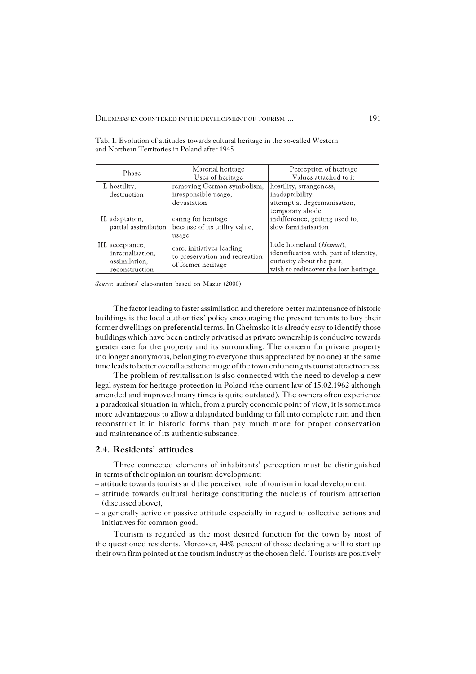| Phase                                                                   | Material heritage<br>Uses of heritage                                             | Perception of heritage<br>Values attached to it                                                                                                   |
|-------------------------------------------------------------------------|-----------------------------------------------------------------------------------|---------------------------------------------------------------------------------------------------------------------------------------------------|
| I. hostility,<br>destruction                                            | removing German symbolism,<br>irresponsible usage,<br>devastation                 | hostility, strangeness,<br>inadaptability,<br>attempt at degermanisation,<br>temporary abode                                                      |
| II. adaptation,<br>partial assimilation                                 | caring for heritage<br>because of its utility value,<br>usage                     | indifference, getting used to,<br>slow familiarisation                                                                                            |
| III. acceptance,<br>internalisation,<br>assimilation,<br>reconstruction | care, initiatives leading<br>to preservation and recreation<br>of former heritage | little homeland ( <i>Heimat</i> ),<br>identification with, part of identity,<br>curiosity about the past,<br>wish to rediscover the lost heritage |

Tab. 1. Evolution of attitudes towards cultural heritage in the so−called Western and Northern Territories in Poland after 1945

*Source*: authors' elaboration based on Mazur (2000)

The factor leading to faster assimilation and therefore better maintenance of historic buildings is the local authorities' policy encouraging the present tenants to buy their former dwellings on preferential terms. In Chełmsko it is already easy to identify those buildings which have been entirely privatised as private ownership is conducive towards greater care for the property and its surrounding. The concern for private property (no longer anonymous, belonging to everyone thus appreciated by no one) at the same time leads to better overall aesthetic image of the town enhancing its tourist attractiveness.

The problem of revitalisation is also connected with the need to develop a new legal system for heritage protection in Poland (the current law of 15.02.1962 although amended and improved many times is quite outdated). The owners often experience aparadoxical situation in which, from a purely economic point of view, it is sometimes more advantageous to allow a dilapidated building to fall into complete ruin and then reconstruct it in historic forms than pay much more for proper conservation and maintenance of its authentic substance.

## **2.4. Residents' attitudes**

Three connected elements of inhabitants' perception must be distinguished in terms of their opinion on tourism development:

- attitude towards tourists and the perceived role of tourism in local development,
- attitude towards cultural heritage constituting the nucleus of tourism attraction (discussed above),
- a generally active or passive attitude especially in regard to collective actions and initiatives for common good.

Tourism is regarded as the most desired function for the town by most of the questioned residents. Moreover, 44% percent of those declaring a will to start up their own firm pointed at the tourism industry as the chosen field. Tourists are positively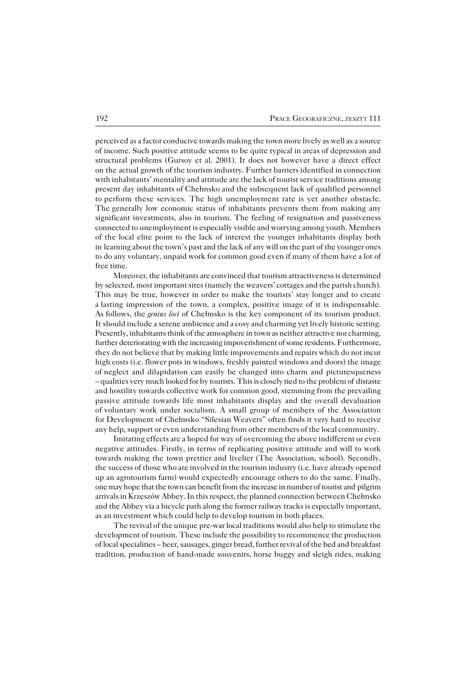perceived as a factor conducive towards making the town more lively as well as a source of income. Such positive attitude seems to be quite typical in areas of depression and structural problems (Gursoy et al. 2001). It does not however have a direct effect on the actual growth of the tourism industry. Further barriers identified in connection with inhabitants' mentality and attitude are the lack of tourist service traditions among present day inhabitants of Chełmsko and the subsequent lack of qualified personnel toperform these services. The high unemployment rate is yet another obstacle. The generally low economic status of inhabitants prevents them from making any significant investments, also in tourism. The feeling of resignation and passiveness connected to unemployment is especially visible and worrying among youth. Members of the local elite point to the lack of interest the younger inhabitants display both in learning about the town's past and the lack of any will on the part of the younger ones to do any voluntary, unpaid work for common good even if many of them have a lot of free time.

Moreover, the inhabitants are convinced that tourism attractiveness is determined by selected, most important sites (namely the weavers' cottages and the parish church). This may be true, however in order to make the tourists' stay longer and to create alasting impression of the town, a complex, positive image of it is indispensable. Asfollows, the *genius loci* of Chełmsko is the key component of its tourism product. It should include a serene ambience and a cosy and charming yet lively historic setting. Presently, inhabitants think of the atmosphere in town as neither attractive nor charming, further deteriorating with the increasing impoverishment of some residents. Furthermore, they do not believe that by making little improvements and repairs which do not incur high costs (i.e. flower pots in windows, freshly painted windows and doors) the image of neglect and dilapidation can easily be changed into charm and picturesqueness – qualities very much looked for by tourists. This is closely tied to the problem of distaste and hostility towards collective work for common good, stemming from the prevailing passive attitude towards life most inhabitants display and the overall devaluation ofvoluntary work under socialism. A small group of members of the Association for Development of Chełmsko "Silesian Weavers" often finds it very hard to receive any help, support or even understanding from other members of the local community.

Imitating effects are a hoped for way of overcoming the above indifferent or even negative attitudes. Firstly, in terms of replicating positive attitude and will to work towards making the town prettier and livelier (The Association, school). Secondly, the success of those who are involved in the tourism industry (i.e. have already opened up an agrotourism farm) would expectedly encourage others to do the same. Finally, one may hope that the town can benefit from the increase in number of tourist andpilgrim arrivals in Krzeszów Abbey. In this respect, the planned connection between Chełmsko and the Abbey via a bicycle path along the former railway tracks is especially important, as an investment which could help to develop tourism in both places.

The revival of the unique pre−war local traditions would also help to stimulate the development of tourism. These include the possibility to recommence the production of local specialities – beer, sausages, ginger bread, further revival of the bed and breakfast tradition, production of hand−made souvenirs, horse buggy and sleigh rides, making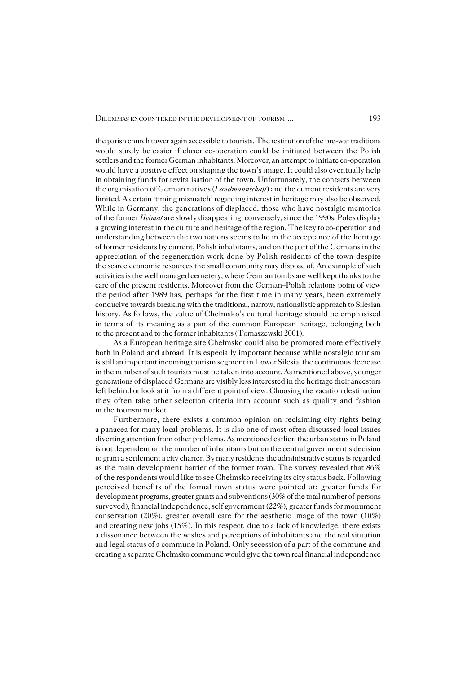the parish church tower again accessible to tourists. The restitution of the pre−war traditions would surely be easier if closer co-operation could be initiated between the Polish settlers and the former German inhabitants. Moreover, an attempt to initiate co−operation would have a positive effect on shaping the town's image. It could also eventually help in obtaining funds for revitalisation of the town. Unfortunately, the contacts between the organisation of German natives (*Landmannschaft*) and the current residents are very limited. A certain 'timing mismatch' regarding interest in heritage may also be observed. While in Germany, the generations of displaced, those who have nostalgic memories of the former *Heimat* are slowly disappearing, conversely, since the 1990s, Poles display a growing interest in the culture and heritage of the region. The key to co-operation and understanding between the two nations seems to lie in the acceptance of the heritage of former residents by current, Polish inhabitants, and on the part of the Germans in the appreciation of the regeneration work done by Polish residents of the town despite the scarce economic resources the small community may dispose of. An example of such activities is the well managed cemetery, where German tombs are well kept thanks to the care of the present residents. Moreover from the German–Polish relations point of view the period after 1989 has, perhaps for the first time in many years, been extremely conducive towards breaking with the traditional, narrow, nationalistic approach to Silesian history. As follows, the value of Chełmsko's cultural heritage should be emphasised in terms of its meaning as a part of the common European heritage, belonging both to the present and to the former inhabitants (Tomaszewski 2001).

As a European heritage site Chełmsko could also be promoted more effectively both in Poland and abroad. It is especially important because while nostalgic tourism is still an important incoming tourism segment in Lower Silesia, the continuous decrease in the number of such tourists must be taken into account. As mentioned above, younger generations of displaced Germans are visibly less interested in the heritage their ancestors left behind or look at it from a different point of view. Choosing the vacation destination they often take other selection criteria into account such as quality and fashion in the tourism market.

Furthermore, there exists a common opinion on reclaiming city rights being apanacea for many local problems. It is also one of most often discussed local issues diverting attention from other problems. As mentioned earlier, the urban status in Poland is not dependent on the number of inhabitants but on the central government's decision to grant a settlement a city charter. By many residents the administrative status is regarded as the main development barrier of the former town. The survey revealed that 86% ofthe respondents would like to see Chełmsko receiving its city status back. Following perceived benefits of the formal town status were pointed at: greater funds for development programs, greater grants and subventions (30% of the total number of persons surveyed), financial independence, self government (22%), greater funds for monument conservation (20%), greater overall care for the aesthetic image of the town (10%) and creating new jobs  $(15\%)$ . In this respect, due to a lack of knowledge, there exists adissonance between the wishes and perceptions of inhabitants and the real situation and legal status of a commune in Poland. Only secession of a part of the commune and creating a separate Chełmsko commune would give the town real financial independence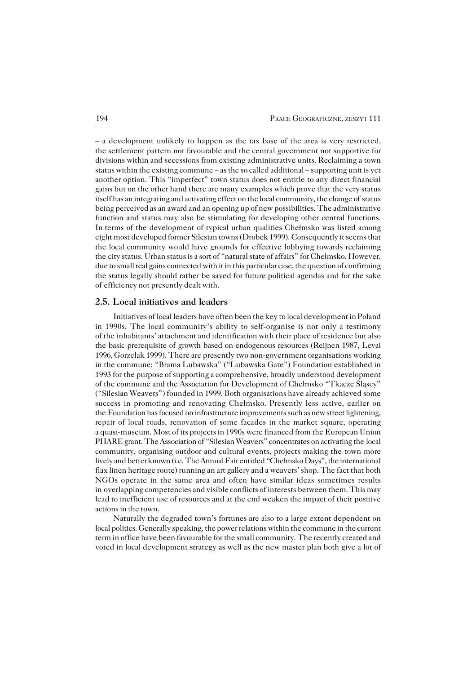– a development unlikely to happen as the tax base of the area is very restricted, the settlement pattern not favourable and the central government not supportive for divisions within and secessions from existing administrative units. Reclaiming a town status within the existing commune – as the so called additional – supporting unit is yet another option. This "imperfect" town status does not entitle to any direct financial gains but on the other hand there are many examples which prove that the very status itself has an integrating and activating effect on the local community, the change of status being perceived as an award and an opening up of new possibilities. The administrative function and status may also be stimulating for developing other central functions. In terms of the development of typical urban qualities Chełmsko was listed among eight most developed former Silesian towns (Drobek 1999). Consequently it seems that the local community would have grounds for effective lobbying towards reclaiming thecity status. Urban status is a sort of "natural state of affairs" for Chełmsko. However, due to small real gains connected with it in this particular case, the question of confirming the status legally should rather be saved for future political agendas and for the sake of efficiency not presently dealt with.

#### **2.5. Local initiatives and leaders**

Initiatives of local leaders have often been the key to local development in Poland in 1990s. The local community's ability to self−organise is not only a testimony of the inhabitants' attachment and identification with their place of residence but also the basic prerequisite of growth based on endogenous resources (Reijnen 1987, Levai 1996, Gorzelak 1999). There are presently two non−government organisations working in the commune: "Brama Lubawska" ("Lubawska Gate") Foundation established in 1993 forthe purpose of supporting a comprehensive, broadly understood development of thecommune and the Association for Development of Chełmsko "Tkacze Śląscy" ("Silesian Weavers") founded in 1999. Both organisations have already achieved some success in promoting and renovating Chełmsko. Presently less active, earlier on the Foundation has focused on infrastructure improvements such as new street lightening, repair of local roads, renovation of some facades in the market square, operating a quasi−museum. Most of its projects in 1990s were financed from the European Union PHARE grant. The Association of "Silesian Weavers" concentrates on activating the local community, organising outdoor and cultural events, projects making the town more lively and better known (i.e. The Annual Fair entitled "Chełmsko Days", the international flax linen heritage route) running an art gallery and a weavers' shop. The fact that both NGOs operate in the same area and often have similar ideas sometimes results in overlapping competencies and visible conflicts of interests between them. This may lead to inefficient use of resources and at the end weaken the impact of their positive actions in the town.

Naturally the degraded town's fortunes are also to a large extent dependent on local politics. Generally speaking, the power relations within the commune in the current term in office have been favourable for the small community. The recently created and voted in local development strategy as well as the new master plan both give a lot of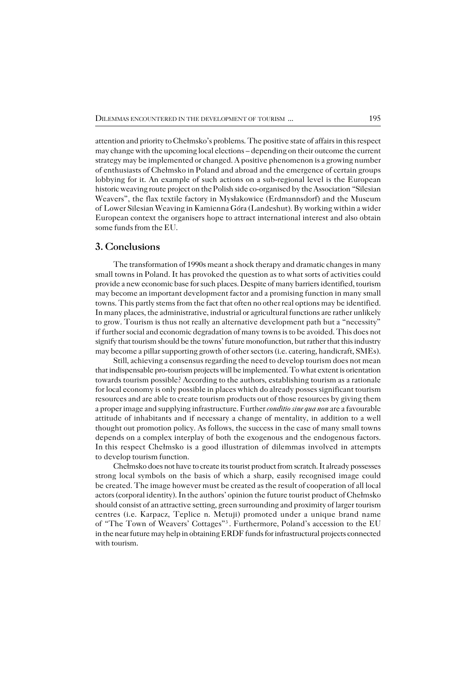attention and priority to Chełmsko's problems. The positive state of affairs in this respect may change with the upcoming local elections – depending on their outcome the current strategy may be implemented or changed. A positive phenomenon is a growing number of enthusiasts of Chełmsko in Poland and abroad and the emergence of certain groups lobbying for it. An example of such actions on a sub−regional level is the European historic weaving route project on the Polish side co−organised by the Association "Silesian Weavers", the flax textile factory in Mysłakowice (Erdmannsdorf) and the Museum ofLower Silesian Weaving in Kamienna Góra (Landeshut). By working within a wider European context the organisers hope to attract international interest and also obtain some funds from the EU.

#### **3. Conclusions**

The transformation of 1990s meant a shock therapy and dramatic changes in many small towns in Poland. It has provoked the question as to what sorts of activities could provide a new economic base for such places. Despite of many barriers identified, tourism may become an important development factor and a promising function in many small towns. This partly stems from the fact that often no other real options may be identified. In many places, the administrative, industrial or agricultural functions are rather unlikely to grow. Tourism is thus not really an alternative development path but a "necessity" iffurther social and economic degradation of many towns is to be avoided. This does not signify that tourism should be the towns' future monofunction, but rather that this industry may become a pillar supporting growth of other sectors (i.e. catering, handicraft, SMEs).

Still, achieving a consensus regarding the need to develop tourism does not mean that indispensable pro−tourism projects will be implemented. To what extent is orientation towards tourism possible? According to the authors, establishing tourism as a rationale for local economy is only possible in places which do already posses significant tourism resources and are able to create tourism products out of those resources by giving them a proper image and supplying infrastructure. Further *conditio sine qua non* are a favourable attitude of inhabitants and if necessary a change of mentality, in addition to a well thought out promotion policy. As follows, the success in the case of many small towns depends on a complex interplay of both the exogenous and the endogenous factors. In this respect Chełmsko is a good illustration of dilemmas involved in attempts to develop tourism function.

Chełmsko does not have to create its tourist product from scratch. It already possesses strong local symbols on the basis of which a sharp, easily recognised image could be created. The image however must be created as the result of cooperation of all local actors (corporal identity). In the authors' opinion the future tourist product of Chełmsko should consist of an attractive setting, green surrounding and proximity of larger tourism centres (i.e. Karpacz, Teplice n. Metuji) promoted under a unique brand name of "The Town of Weavers' Cottages"<sup>3</sup> . Furthermore, Poland's accession to the EU in the near future may help in obtaining ERDF funds for infrastructural projects connected with tourism.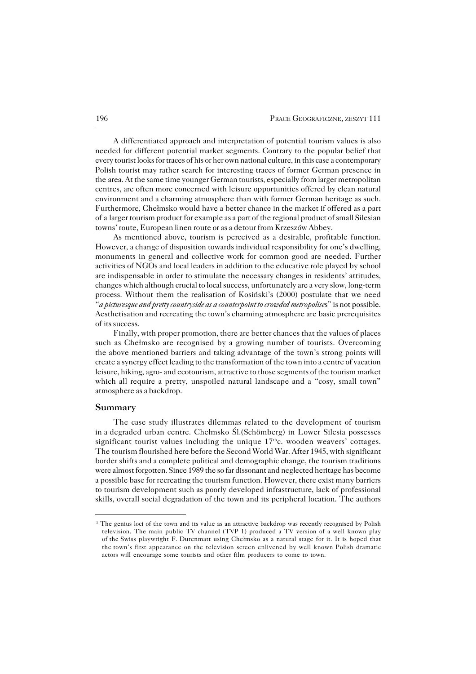A differentiated approach and interpretation of potential tourism values is also needed for different potential market segments. Contrary to the popular belief that every tourist looks for traces of his or her own national culture, in this case a contemporary Polish tourist may rather search for interesting traces of former German presence in the area. At the same time younger German tourists, especially from larger metropolitan centres, are often more concerned with leisure opportunities offered by clean natural environment and a charming atmosphere than with former German heritage as such. Furthermore, Chełmsko would have a better chance in the market if offered as a part ofalarger tourism product for example as a part of the regional product of small Silesian towns' route, European linen route or as a detour from Krzeszów Abbey.

As mentioned above, tourism is perceived as a desirable, profitable function. However, a change of disposition towards individual responsibility for one's dwelling, monuments in general and collective work for common good are needed. Further activities of NGOs and local leaders in addition to the educative role played by school are indispensable in order to stimulate the necessary changes in residents' attitudes, changes which although crucial to local success, unfortunately are a very slow, long−term process. Without them the realisation of Kosiński's (2000) postulate that we need "*a picturesque and pretty countryside as a counterpoint to crowded metropolise*s" is not possible. Aesthetisation and recreating the town's charming atmosphere are basic prerequisites of its success.

Finally, with proper promotion, there are better chances that the values of places such as Chełmsko are recognised by a growing number of tourists. Overcoming the above mentioned barriers and taking advantage of the town's strong points will create a synergy effect leading to the transformation of the town into a centre of vacation leisure, hiking, agro− and ecotourism, attractive to those segments of the tourism market which all require a pretty, unspoiled natural landscape and a "cosy, small town" atmosphere as a backdrop.

### **Summary**

The case study illustrates dilemmas related to the development of tourism inadegraded urban centre. Chełmsko Śl.(Schömberg) in Lower Silesia possesses significant tourist values including the unique  $17<sup>th</sup>c$ . wooden weavers' cottages. The tourism flourished here before the Second World War. After 1945, with significant border shifts and a complete political and demographic change, the tourism traditions were almost forgotten. Since 1989 the so far dissonant and neglected heritage has become a possible base for recreating the tourism function. However, there exist many barriers to tourism development such as poorly developed infrastructure, lack of professional skills, overall social degradation of the town and its peripheral location. The authors

<sup>&</sup>lt;sup>3</sup> The genius loci of the town and its value as an attractive backdrop was recently recognised by Polish television. The main public TV channel (TVP 1) produced a TV version of a well known play oftheSwiss playwright F.Durenmatt using Chełmsko as a natural stage for it. It is hoped that the town's first appearance on the television screen enlivened by well known Polish dramatic actors will encourage some tourists and other film producers to come to town.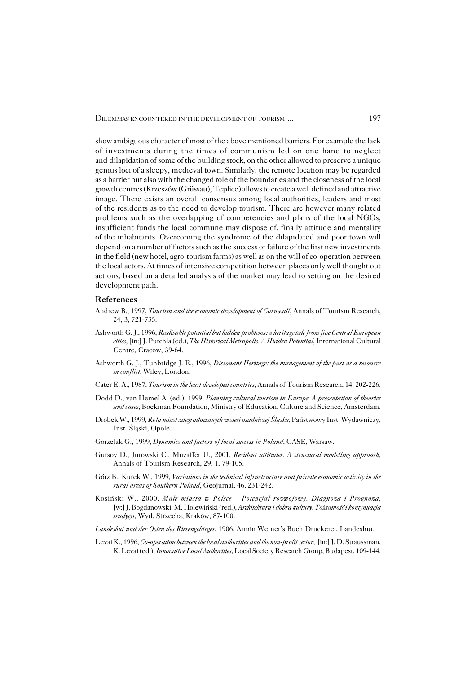show ambiguous character of most of the above mentioned barriers. For example the lack of investments during the times of communism led on one hand to neglect and dilapidation of some of the building stock, on the other allowed to preserve a unique genius loci of a sleepy, medieval town. Similarly, the remote location may be regarded as a barrier but also with the changed role of the boundaries and the closeness of the local growth centres (Krzeszów (Grüssau), Teplice) allows to create a well defined and attractive image. There exists an overall consensus among local authorities, leaders and most ofthe residents as to the need to develop tourism. There are however many related problems such as the overlapping of competencies and plans of the local NGOs, insufficient funds the local commune may dispose of, finally attitude and mentality ofthe inhabitants. Overcoming the syndrome of the dilapidated and poor town will depend on a number of factors such as the success or failure of the first new investments in the field (new hotel, agro−tourism farms) as well as on the will of co−operation between the local actors. At times of intensive competition between places only well thought out actions, based on a detailed analysis of the market may lead to setting on the desired development path.

#### **References**

- Andrew B., 1997, *Tourism and the economic development of Cornwall*, Annals of Tourism Research, 24, 3, 721−735.
- Ashworth G. J., 1996, *Realisable potential but hidden problems: a heritage tale from five Central European cities,* [in:] J. Purchla (ed.), *The Historical Metropolis. A Hidden Potential*, International Cultural Centre, Cracow, 39−64.
- Ashworth G. J., Tunbridge J. E., 1996, *Dissonant Heritage: the management of the past as a resource in conflict*, Wiley, London.
- Cater E. A., 1987, *Tourism in the least developed countries,* Annals of Tourism Research, 14, 202−226.
- Dodd D., van Hemel A. (ed.), 1999, *Planning cultural tourism in Europe. A presentation of theories and cases*, Boekman Foundation, Ministry of Education, Culture and Science, Amsterdam.
- Drobek W., 1999, *Rola miast zdegradowanych w sieci osadniczej Śląska*, Państwowy Inst. Wydawniczy, Inst. Śląski, Opole.
- Gorzelak G., 1999, *Dynamics and factors of local success in Poland*, CASE, Warsaw.
- Gursoy D., Jurowski C., Muzaffer U., 2001, *Resident attitudes. A structural modelling approach*, Annals of Tourism Research, 29, 1, 79−105.
- Górz B., Kurek W., 1999, *Variations in the technical infrastructure and private economic activity in the rural areas of Southern Poland*, Geojurnal*,* 46, 231−242.
- Kosiński W., 2000, *Małe miasta w Polsce Potencjał rozwojowy. Diagnoza i Prognoza,* [w:] J. Bogdanowski, M. Holewiński (red.), *Architektura i dobra kultury. Tożsamość i kontynuacja tradycji*, Wyd. Strzecha, Kraków, 87−100.
- *Landeshut und der Osten des Riesengebirges*, 1906, Armin Werner's Buch Druckerei, Landeshut.
- Levai K., 1996, *Co−operation between the local authorities and the non−profit sector,* [in:] J. D. Straussman, K. Levai (ed.), *Innovative Local Authorities*, Local Society Research Group, Budapest, 109−144.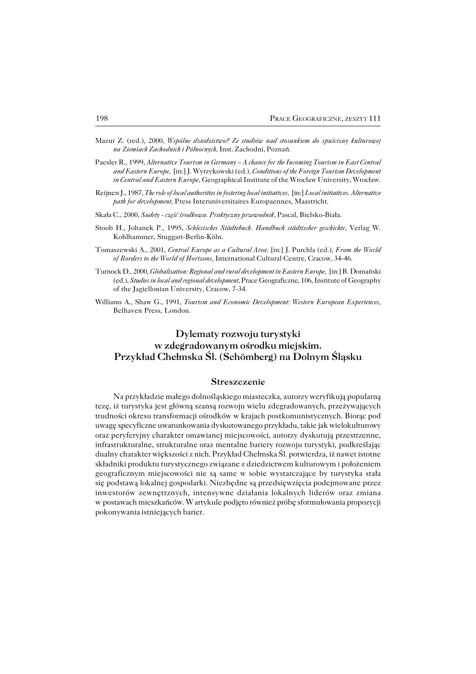- Mazur Z. (red.), 2000, *Wspólne dziedzictwo? Ze studiów nad stosunkiem do spuścizny kulturowej naZiemiach Zachodnich i Północnych*, Inst. Zachodni, Poznań.
- Paesler R., 1999, *Alternative Tourism in Germany A chance for the Incoming Tourism in East Central and Eastern Europe,* [in:] J. Wyrzykowski (ed.), *Conditions of the Foreign Tourism Development in Central and Eastern Europe*, Geographical Institute of the Wrocław University, Wrocław.
- Reijnen J., 1987, *The role of local authorities in fostering local initiatives,* [in:] *Local initiatives. Alternative path for development,* Press Interuniversitaires Europaennes, Maastricht.
- Skała C., 2000, *Sudety − część środkowa. Praktyczny przewodnik*, Pascal, Bielsko−Biała.
- Stoob H., Johanek P., 1995, *Schlesisches Städtebuch. Handbuch städtischer geschichte*, Verlag W. Kohlhammer, Stuggart−Berlin−Köln.
- Tomaszewski A., 2001, *Central Europe as a Cultural Area,* [in:] J. Purchla (ed.), *From the World ofBorders to the World of Horizons*, International Cultural Centre, Cracow, 34−46.
- Turnock D., 2000, *Globalisation: Regional and rural development in Eastern Europe,* [in:] B. Domański (ed.), *Studies in local and regional development*, Prace Geograficzne, 106, Institute of Geography of the Jagiellonian University, Cracow, 7-34.
- Williams A., Shaw G., 1991, *Tourism and Economic Development: Western European Experiences*, Belhaven Press, London.

# **Dylematy rozwoju turystyki w zdegradowanym ośrodku miejskim. Przykład Chełmska Śl. (Schömberg) na Dolnym Śląsku**

#### **Streszczenie**

Na przykładzie małego dolnośląskiego miasteczka, autorzy weryfikują popularną tezę, iż turystyka jest główną szansą rozwoju wielu zdegradowanych, przeżywających trudności okresu transformacji ośrodków w krajach postkomunistycznych. Biorąc pod uwagę specyficzne uwarunkowania dyskutowanego przykładu, takie jak wielokulturowy oraz peryferyjny charakter omawianej miejscowości, autorzy dyskutują przestrzenne, infrastrukturalne, strukturalne oraz mentalne bariery rozwoju turystyki, podkreślając dualny charakter większości z nich. Przykład Chełmska Śl. potwierdza, iż nawet istotne składniki produktu turystycznego związane z dziedzictwem kulturowym i położeniem geograficznym miejscowości nie są same w sobie wystarczające by turystyka stała się podstawą lokalnej gospodarki. Niezbędne są przedsięwzięcia podejmowane przez inwestorów zewnętrznych, intensywne działania lokalnych liderów oraz zmiana wpostawach mieszkańców. W artykule podjęto również próbę sformułowania propozycji pokonywania istniejących barier.